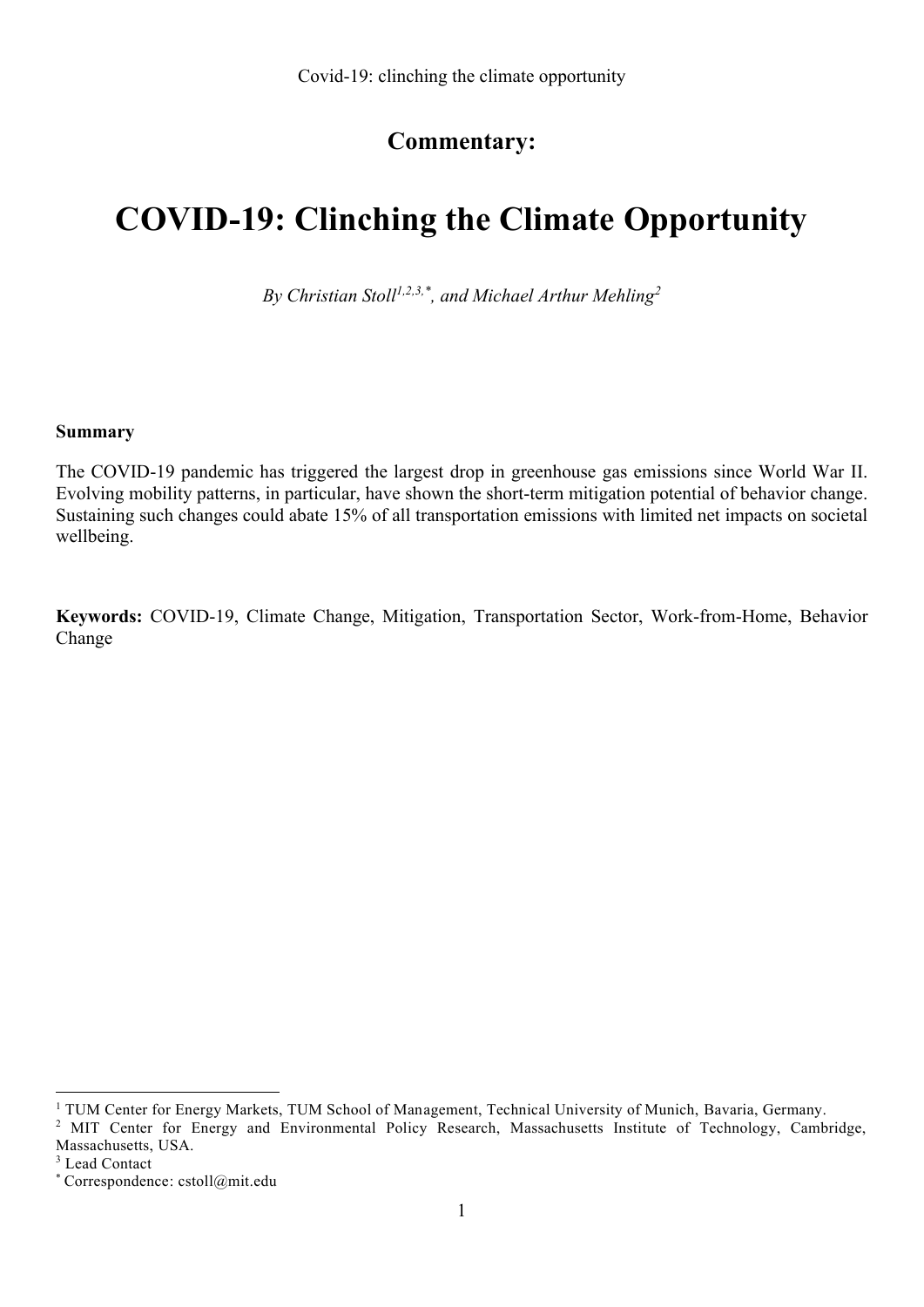# **Commentary:**

# **COVID-19: Clinching the Climate Opportunity**

*By Christian Stoll1,2,3,\* , and Michael Arthur Mehling<sup>2</sup>*

#### **Summary**

The COVID-19 pandemic has triggered the largest drop in greenhouse gas emissions since World War II. Evolving mobility patterns, in particular, have shown the short-term mitigation potential of behavior change. Sustaining such changes could abate 15% of all transportation emissions with limited net impacts on societal wellbeing.

**Keywords:** COVID-19, Climate Change, Mitigation, Transportation Sector, Work-from-Home, Behavior Change

<sup>1</sup> TUM Center for Energy Markets, TUM School of Management, Technical University of Munich, Bavaria, Germany.

<sup>&</sup>lt;sup>2</sup> MIT Center for Energy and Environmental Policy Research, Massachusetts Institute of Technology, Cambridge, Massachusetts, USA.

<sup>&</sup>lt;sup>3</sup> Lead Contact

<sup>\*</sup> Correspondence: cstoll@mit.edu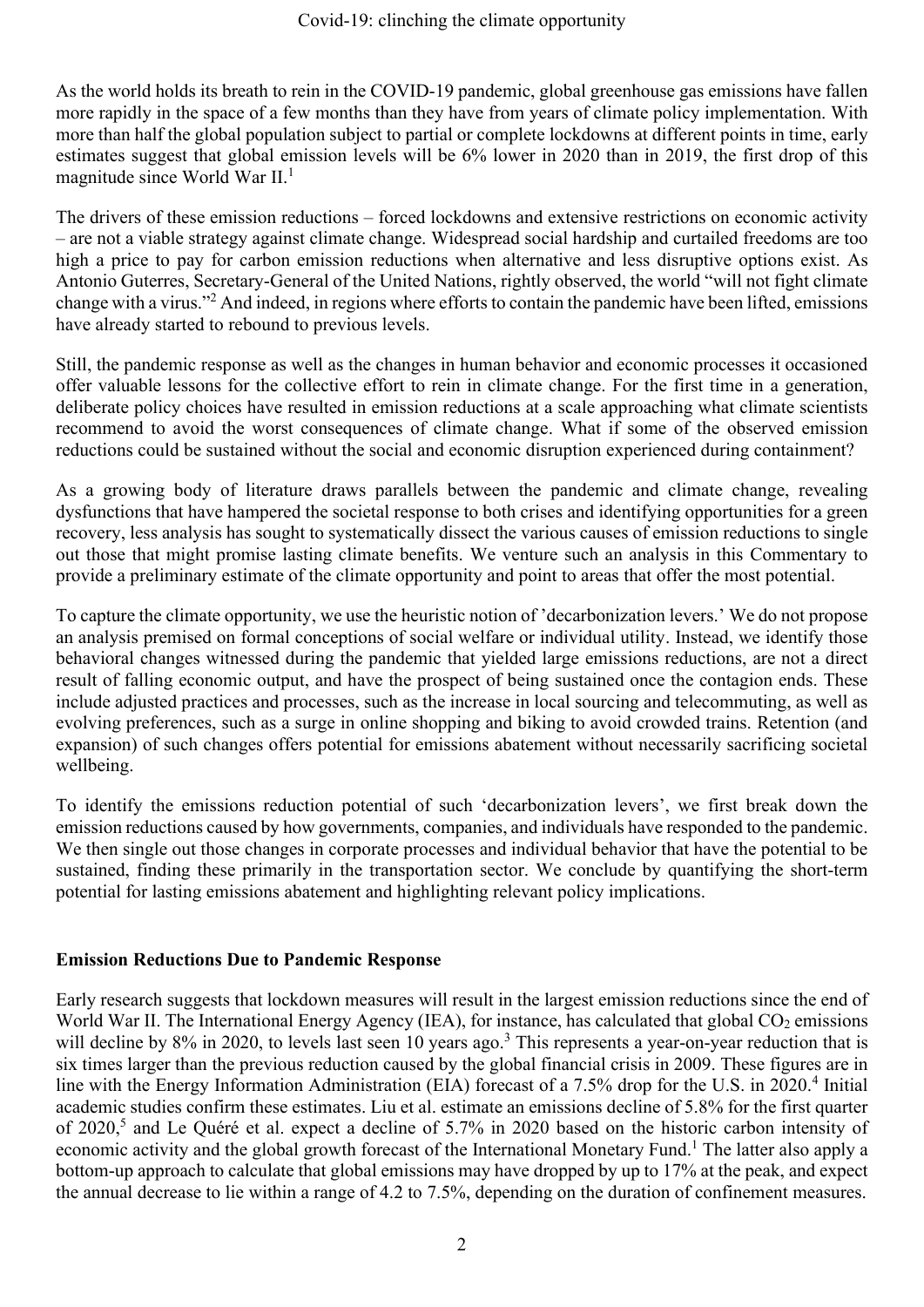As the world holds its breath to rein in the COVID-19 pandemic, global greenhouse gas emissions have fallen more rapidly in the space of a few months than they have from years of climate policy implementation. With more than half the global population subject to partial or complete lockdowns at different points in time, early estimates suggest that global emission levels will be 6% lower in 2020 than in 2019, the first drop of this magnitude since World War II. 1

The drivers of these emission reductions – forced lockdowns and extensive restrictions on economic activity – are not a viable strategy against climate change. Widespread social hardship and curtailed freedoms are too high a price to pay for carbon emission reductions when alternative and less disruptive options exist. As Antonio Guterres, Secretary-General of the United Nations, rightly observed, the world "will not fight climate change with a virus."<sup>2</sup> And indeed, in regions where efforts to contain the pandemic have been lifted, emissions have already started to rebound to previous levels.

Still, the pandemic response as well as the changes in human behavior and economic processes it occasioned offer valuable lessons for the collective effort to rein in climate change. For the first time in a generation, deliberate policy choices have resulted in emission reductions at a scale approaching what climate scientists recommend to avoid the worst consequences of climate change. What if some of the observed emission reductions could be sustained without the social and economic disruption experienced during containment?

As a growing body of literature draws parallels between the pandemic and climate change, revealing dysfunctions that have hampered the societal response to both crises and identifying opportunities for a green recovery, less analysis has sought to systematically dissect the various causes of emission reductions to single out those that might promise lasting climate benefits. We venture such an analysis in this Commentary to provide a preliminary estimate of the climate opportunity and point to areas that offer the most potential.

To capture the climate opportunity, we use the heuristic notion of 'decarbonization levers.' We do not propose an analysis premised on formal conceptions of social welfare or individual utility. Instead, we identify those behavioral changes witnessed during the pandemic that yielded large emissions reductions, are not a direct result of falling economic output, and have the prospect of being sustained once the contagion ends. These include adjusted practices and processes, such as the increase in local sourcing and telecommuting, as well as evolving preferences, such as a surge in online shopping and biking to avoid crowded trains. Retention (and expansion) of such changes offers potential for emissions abatement without necessarily sacrificing societal wellbeing.

To identify the emissions reduction potential of such 'decarbonization levers', we first break down the emission reductions caused by how governments, companies, and individuals have responded to the pandemic. We then single out those changes in corporate processes and individual behavior that have the potential to be sustained, finding these primarily in the transportation sector. We conclude by quantifying the short-term potential for lasting emissions abatement and highlighting relevant policy implications.

## **Emission Reductions Due to Pandemic Response**

Early research suggests that lockdown measures will result in the largest emission reductions since the end of World War II. The International Energy Agency (IEA), for instance, has calculated that global  $CO<sub>2</sub>$  emissions will decline by  $8\%$  in 2020, to levels last seen 10 years ago.<sup>3</sup> This represents a year-on-year reduction that is six times larger than the previous reduction caused by the global financial crisis in 2009. These figures are in line with the Energy Information Administration (EIA) forecast of a 7.5% drop for the U.S. in 2020.<sup>4</sup> Initial academic studies confirm these estimates. Liu et al. estimate an emissions decline of 5.8% for the first quarter of 2020,<sup>5</sup> and Le Quéré et al. expect a decline of 5.7% in 2020 based on the historic carbon intensity of economic activity and the global growth forecast of the International Monetary Fund.<sup>1</sup> The latter also apply a bottom-up approach to calculate that global emissions may have dropped by up to 17% at the peak, and expect the annual decrease to lie within a range of 4.2 to 7.5%, depending on the duration of confinement measures.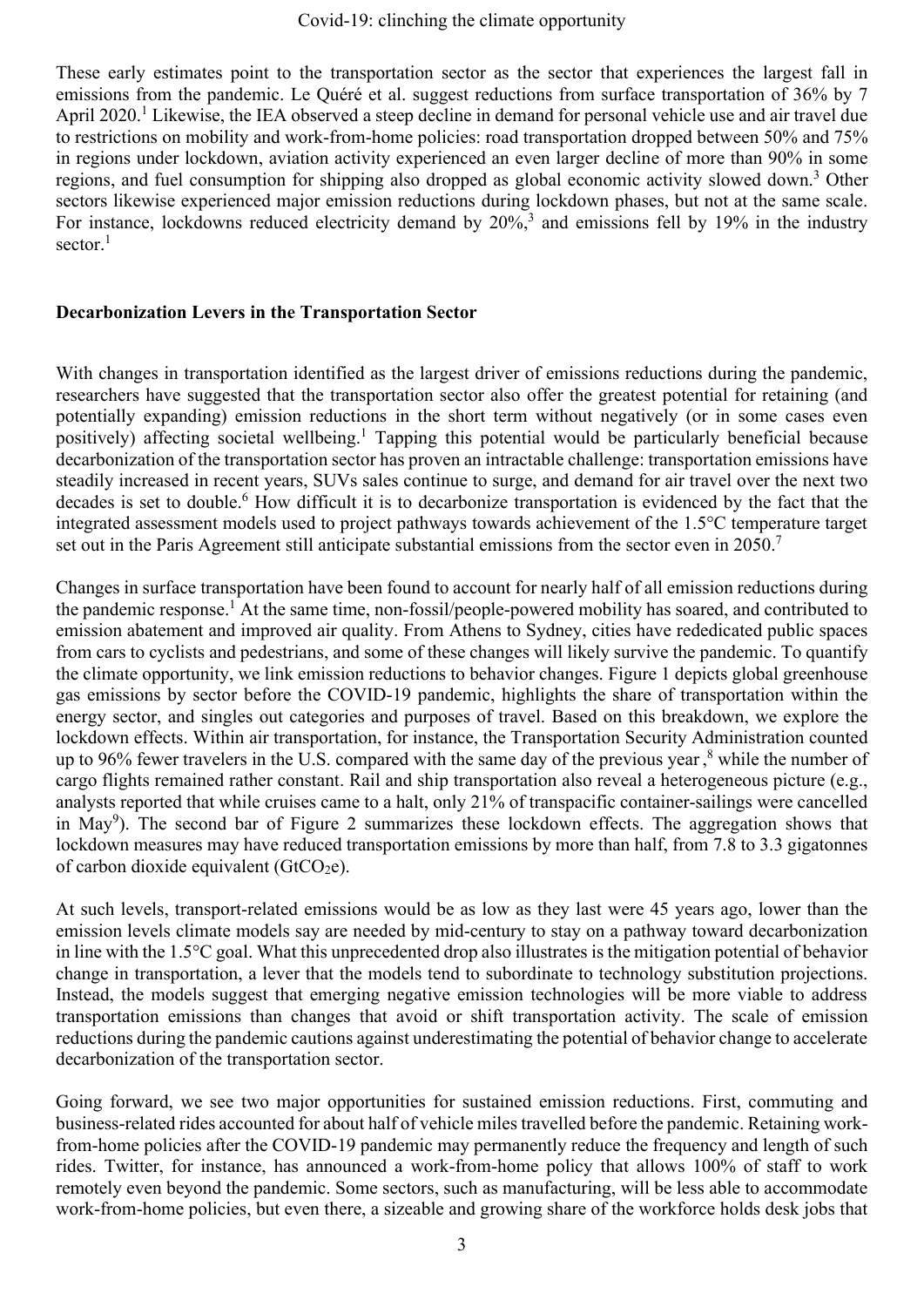These early estimates point to the transportation sector as the sector that experiences the largest fall in emissions from the pandemic. Le Quéré et al. suggest reductions from surface transportation of 36% by 7 April 2020.<sup>1</sup> Likewise, the IEA observed a steep decline in demand for personal vehicle use and air travel due to restrictions on mobility and work-from-home policies: road transportation dropped between 50% and 75% in regions under lockdown, aviation activity experienced an even larger decline of more than 90% in some regions, and fuel consumption for shipping also dropped as global economic activity slowed down. <sup>3</sup> Other sectors likewise experienced major emission reductions during lockdown phases, but not at the same scale. For instance, lockdowns reduced electricity demand by 20%,<sup>3</sup> and emissions fell by 19% in the industry sector.<sup>1</sup>

## **Decarbonization Levers in the Transportation Sector**

With changes in transportation identified as the largest driver of emissions reductions during the pandemic, researchers have suggested that the transportation sector also offer the greatest potential for retaining (and potentially expanding) emission reductions in the short term without negatively (or in some cases even positively) affecting societal wellbeing.<sup>1</sup> Tapping this potential would be particularly beneficial because decarbonization of the transportation sector has proven an intractable challenge: transportation emissions have steadily increased in recent years, SUVs sales continue to surge, and demand for air travel over the next two decades is set to double. <sup>6</sup> How difficult it is to decarbonize transportation is evidenced by the fact that the integrated assessment models used to project pathways towards achievement of the 1.5°C temperature target set out in the Paris Agreement still anticipate substantial emissions from the sector even in 2050.<sup>7</sup>

Changes in surface transportation have been found to account for nearly half of all emission reductions during the pandemic response.<sup>1</sup> At the same time, non-fossil/people-powered mobility has soared, and contributed to emission abatement and improved air quality. From Athens to Sydney, cities have rededicated public spaces from cars to cyclists and pedestrians, and some of these changes will likely survive the pandemic. To quantify the climate opportunity, we link emission reductions to behavior changes. Figure 1 depicts global greenhouse gas emissions by sector before the COVID-19 pandemic, highlights the share of transportation within the energy sector, and singles out categories and purposes of travel. Based on this breakdown, we explore the lockdown effects. Within air transportation, for instance, the Transportation Security Administration counted up to 96% fewer travelers in the U.S. compared with the same day of the previous year,<sup>8</sup> while the number of cargo flights remained rather constant. Rail and ship transportation also reveal a heterogeneous picture (e.g., analysts reported that while cruises came to a halt, only 21% of transpacific container-sailings were cancelled in May<sup>9</sup>). The second bar of Figure 2 summarizes these lockdown effects. The aggregation shows that lockdown measures may have reduced transportation emissions by more than half, from 7.8 to 3.3 gigatonnes of carbon dioxide equivalent ( $GtCO<sub>2</sub>e$ ).

At such levels, transport-related emissions would be as low as they last were 45 years ago, lower than the emission levels climate models say are needed by mid-century to stay on a pathway toward decarbonization in line with the 1.5°C goal. What this unprecedented drop also illustrates is the mitigation potential of behavior change in transportation, a lever that the models tend to subordinate to technology substitution projections. Instead, the models suggest that emerging negative emission technologies will be more viable to address transportation emissions than changes that avoid or shift transportation activity. The scale of emission reductions during the pandemic cautions against underestimating the potential of behavior change to accelerate decarbonization of the transportation sector.

Going forward, we see two major opportunities for sustained emission reductions. First, commuting and business-related rides accounted for about half of vehicle miles travelled before the pandemic. Retaining workfrom-home policies after the COVID-19 pandemic may permanently reduce the frequency and length of such rides. Twitter, for instance, has announced a work-from-home policy that allows 100% of staff to work remotely even beyond the pandemic. Some sectors, such as manufacturing, will be less able to accommodate work-from-home policies, but even there, a sizeable and growing share of the workforce holds desk jobs that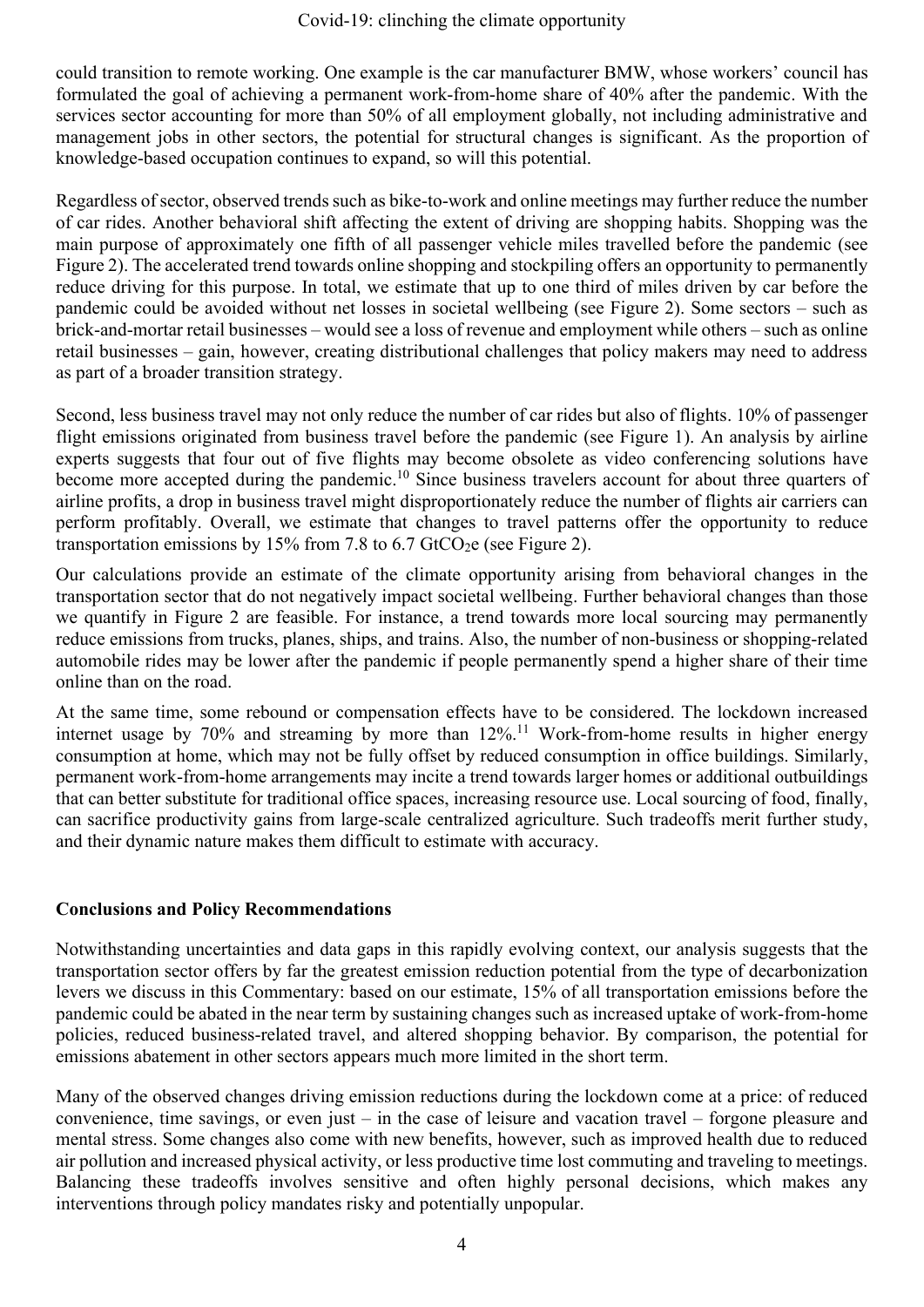could transition to remote working. One example is the car manufacturer BMW, whose workers' council has formulated the goal of achieving a permanent work-from-home share of 40% after the pandemic. With the services sector accounting for more than 50% of all employment globally, not including administrative and management jobs in other sectors, the potential for structural changes is significant. As the proportion of knowledge-based occupation continues to expand, so will this potential.

Regardless of sector, observed trends such as bike-to-work and online meetings may further reduce the number of car rides. Another behavioral shift affecting the extent of driving are shopping habits. Shopping was the main purpose of approximately one fifth of all passenger vehicle miles travelled before the pandemic (see Figure 2). The accelerated trend towards online shopping and stockpiling offers an opportunity to permanently reduce driving for this purpose. In total, we estimate that up to one third of miles driven by car before the pandemic could be avoided without net losses in societal wellbeing (see Figure 2). Some sectors – such as brick-and-mortar retail businesses – would see a loss of revenue and employment while others – such as online retail businesses – gain, however, creating distributional challenges that policy makers may need to address as part of a broader transition strategy.

Second, less business travel may not only reduce the number of car rides but also of flights. 10% of passenger flight emissions originated from business travel before the pandemic (see Figure 1). An analysis by airline experts suggests that four out of five flights may become obsolete as video conferencing solutions have become more accepted during the pandemic.<sup>10</sup> Since business travelers account for about three quarters of airline profits, a drop in business travel might disproportionately reduce the number of flights air carriers can perform profitably. Overall, we estimate that changes to travel patterns offer the opportunity to reduce transportation emissions by 15% from 7.8 to 6.7 GtCO<sub>2</sub>e (see Figure 2).

Our calculations provide an estimate of the climate opportunity arising from behavioral changes in the transportation sector that do not negatively impact societal wellbeing. Further behavioral changes than those we quantify in Figure 2 are feasible. For instance, a trend towards more local sourcing may permanently reduce emissions from trucks, planes, ships, and trains. Also, the number of non-business or shopping-related automobile rides may be lower after the pandemic if people permanently spend a higher share of their time online than on the road.

At the same time, some rebound or compensation effects have to be considered. The lockdown increased internet usage by 70% and streaming by more than 12%.<sup>11</sup> Work-from-home results in higher energy consumption at home, which may not be fully offset by reduced consumption in office buildings. Similarly, permanent work-from-home arrangements may incite a trend towards larger homes or additional outbuildings that can better substitute for traditional office spaces, increasing resource use. Local sourcing of food, finally, can sacrifice productivity gains from large-scale centralized agriculture. Such tradeoffs merit further study, and their dynamic nature makes them difficult to estimate with accuracy.

## **Conclusions and Policy Recommendations**

Notwithstanding uncertainties and data gaps in this rapidly evolving context, our analysis suggests that the transportation sector offers by far the greatest emission reduction potential from the type of decarbonization levers we discuss in this Commentary: based on our estimate, 15% of all transportation emissions before the pandemic could be abated in the near term by sustaining changes such as increased uptake of work-from-home policies, reduced business-related travel, and altered shopping behavior. By comparison, the potential for emissions abatement in other sectors appears much more limited in the short term.

Many of the observed changes driving emission reductions during the lockdown come at a price: of reduced convenience, time savings, or even just – in the case of leisure and vacation travel – forgone pleasure and mental stress. Some changes also come with new benefits, however, such as improved health due to reduced air pollution and increased physical activity, or less productive time lost commuting and traveling to meetings. Balancing these tradeoffs involves sensitive and often highly personal decisions, which makes any interventions through policy mandates risky and potentially unpopular.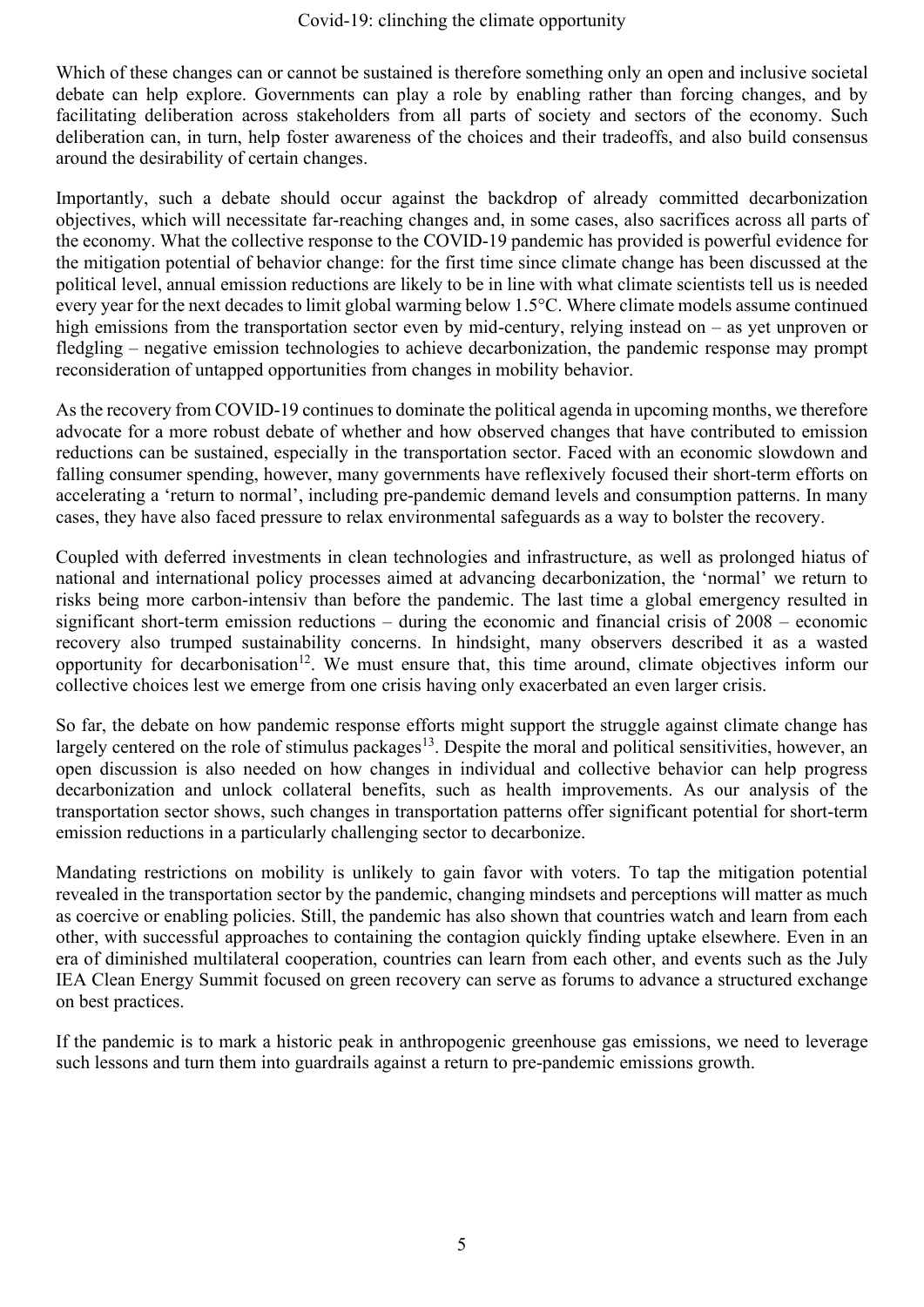Which of these changes can or cannot be sustained is therefore something only an open and inclusive societal debate can help explore. Governments can play a role by enabling rather than forcing changes, and by facilitating deliberation across stakeholders from all parts of society and sectors of the economy. Such deliberation can, in turn, help foster awareness of the choices and their tradeoffs, and also build consensus around the desirability of certain changes.

Importantly, such a debate should occur against the backdrop of already committed decarbonization objectives, which will necessitate far-reaching changes and, in some cases, also sacrifices across all parts of the economy. What the collective response to the COVID-19 pandemic has provided is powerful evidence for the mitigation potential of behavior change: for the first time since climate change has been discussed at the political level, annual emission reductions are likely to be in line with what climate scientists tell us is needed every year for the next decades to limit global warming below 1.5°C. Where climate models assume continued high emissions from the transportation sector even by mid-century, relying instead on – as yet unproven or fledgling – negative emission technologies to achieve decarbonization, the pandemic response may prompt reconsideration of untapped opportunities from changes in mobility behavior.

As the recovery from COVID-19 continues to dominate the political agenda in upcoming months, we therefore advocate for a more robust debate of whether and how observed changes that have contributed to emission reductions can be sustained, especially in the transportation sector. Faced with an economic slowdown and falling consumer spending, however, many governments have reflexively focused their short-term efforts on accelerating a 'return to normal', including pre-pandemic demand levels and consumption patterns. In many cases, they have also faced pressure to relax environmental safeguards as a way to bolster the recovery.

Coupled with deferred investments in clean technologies and infrastructure, as well as prolonged hiatus of national and international policy processes aimed at advancing decarbonization, the 'normal' we return to risks being more carbon-intensiv than before the pandemic. The last time a global emergency resulted in significant short-term emission reductions – during the economic and financial crisis of 2008 – economic recovery also trumped sustainability concerns. In hindsight, many observers described it as a wasted opportunity for decarbonisation<sup>12</sup>. We must ensure that, this time around, climate objectives inform our collective choices lest we emerge from one crisis having only exacerbated an even larger crisis.

So far, the debate on how pandemic response efforts might support the struggle against climate change has largely centered on the role of stimulus packages<sup>13</sup>. Despite the moral and political sensitivities, however, an open discussion is also needed on how changes in individual and collective behavior can help progress decarbonization and unlock collateral benefits, such as health improvements. As our analysis of the transportation sector shows, such changes in transportation patterns offer significant potential for short-term emission reductions in a particularly challenging sector to decarbonize.

Mandating restrictions on mobility is unlikely to gain favor with voters. To tap the mitigation potential revealed in the transportation sector by the pandemic, changing mindsets and perceptions will matter as much as coercive or enabling policies. Still, the pandemic has also shown that countries watch and learn from each other, with successful approaches to containing the contagion quickly finding uptake elsewhere. Even in an era of diminished multilateral cooperation, countries can learn from each other, and events such as the July IEA Clean Energy Summit focused on green recovery can serve as forums to advance a structured exchange on best practices.

If the pandemic is to mark a historic peak in anthropogenic greenhouse gas emissions, we need to leverage such lessons and turn them into guardrails against a return to pre-pandemic emissions growth.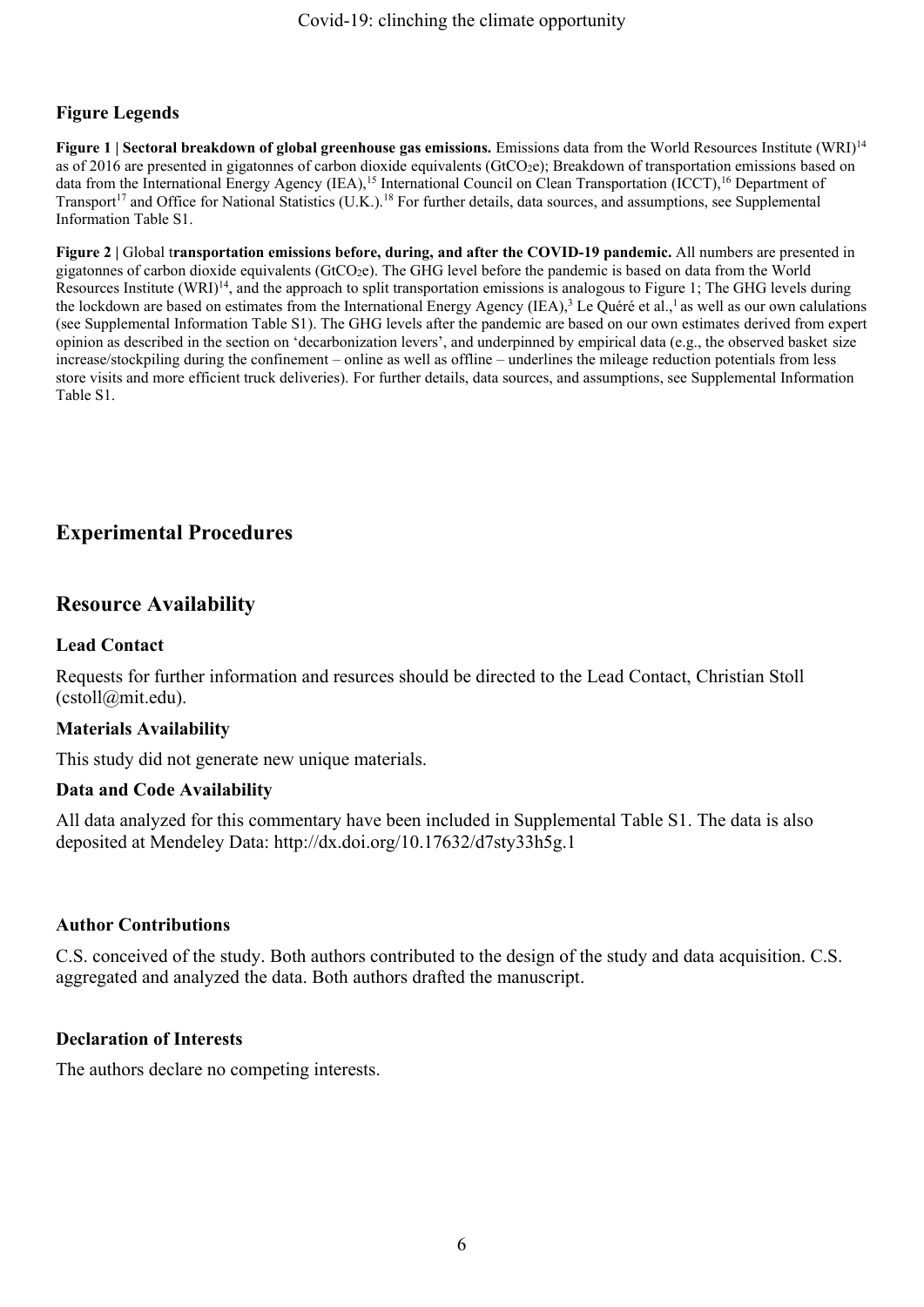## **Figure Legends**

**Figure 1 | Sectoral breakdown of global greenhouse gas emissions.** Emissions data from the World Resources Institute (WRI)<sup>14</sup> as of 2016 are presented in gigatonnes of carbon dioxide equivalents (GtCO<sub>2</sub>e); Breakdown of transportation emissions based on data from the International Energy Agency (IEA),<sup>15</sup> International Council on Clean Transportation (ICCT),<sup>16</sup> Department of Transport<sup>17</sup> and Office for National Statistics (U.K.).<sup>18</sup> For further details, data sources, and assumptions, see Supplemental Information Table S1.

**Figure 2 |** Global t**ransportation emissions before, during, and after the COVID-19 pandemic.** All numbers are presented in gigatonnes of carbon dioxide equivalents (GtCO<sub>2</sub>e). The GHG level before the pandemic is based on data from the World Resources Institute (WRI)<sup>14</sup>, and the approach to split transportation emissions is analogous to Figure 1; The GHG levels during the lockdown are based on estimates from the International Energy Agency (IEA),<sup>3</sup> Le Quéré et al.,<sup>1</sup> as well as our own calulations (see Supplemental Information Table S1). The GHG levels after the pandemic are based on our own estimates derived from expert opinion as described in the section on 'decarbonization levers', and underpinned by empirical data (e.g., the observed basket size increase/stockpiling during the confinement – online as well as offline – underlines the mileage reduction potentials from less store visits and more efficient truck deliveries). For further details, data sources, and assumptions, see Supplemental Information Table S1.

## **Experimental Procedures**

## **Resource Availability**

## **Lead Contact**

Requests for further information and resurces should be directed to the Lead Contact, Christian Stoll (cstoll@mit.edu).

## **Materials Availability**

This study did not generate new unique materials.

## **Data and Code Availability**

All data analyzed for this commentary have been included in Supplemental Table S1. The data is also deposited at Mendeley Data: http://dx.doi.org/10.17632/d7sty33h5g.1

#### **Author Contributions**

C.S. conceived of the study. Both authors contributed to the design of the study and data acquisition. C.S. aggregated and analyzed the data. Both authors drafted the manuscript.

#### **Declaration of Interests**

The authors declare no competing interests.